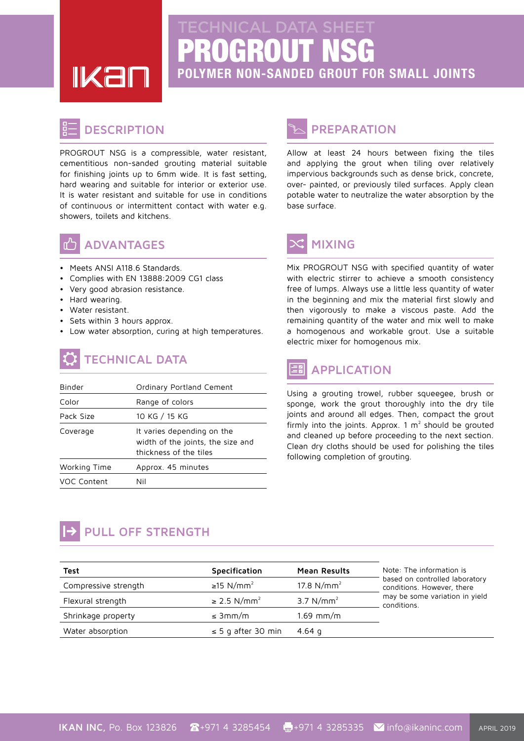**IKal** 

# PROGROUT NSG **POLYMER NON-SANDED GROUT FOR SMALL JOINTS**

#### **DESCRIPTION**

PROGROUT NSG is a compressible, water resistant, cementitious non-sanded grouting material suitable for finishing joints up to 6mm wide. It is fast setting, hard wearing and suitable for interior or exterior use. It is water resistant and suitable for use in conditions of continuous or intermittent contact with water e.g. showers, toilets and kitchens.



#### **ADVANTAGES**

- Meets ANSI A118.6 Standards.
- Complies with EN 13888:2009 CG1 class
- Very good abrasion resistance.
- Hard wearing.
- Water resistant.
- Sets within 3 hours approx.
- Low water absorption, curing at high temperatures.

# **TECHNICAL DATA**

| Binder       | Ordinary Portland Cement                                                                  |  |  |
|--------------|-------------------------------------------------------------------------------------------|--|--|
| Color        | Range of colors                                                                           |  |  |
| Pack Size    | 10 KG / 15 KG                                                                             |  |  |
| Coverage     | It varies depending on the<br>width of the joints, the size and<br>thickness of the tiles |  |  |
| Working Time | Approx. 45 minutes                                                                        |  |  |
| VOC Content  | Nil                                                                                       |  |  |

### **PREPARATION**

Allow at least 24 hours between fixing the tiles and applying the grout when tiling over relatively impervious backgrounds such as dense brick, concrete, over- painted, or previously tiled surfaces. Apply clean potable water to neutralize the water absorption by the base surface.

## **MIXING**

Mix PROGROUT NSG with specified quantity of water with electric stirrer to achieve a smooth consistency free of lumps. Always use a little less quantity of water in the beginning and mix the material first slowly and then vigorously to make a viscous paste. Add the remaining quantity of the water and mix well to make a homogenous and workable grout. Use a suitable electric mixer for homogenous mix.

# **APPLICATION**

Using a grouting trowel, rubber squeegee, brush or sponge, work the grout thoroughly into the dry tile joints and around all edges. Then, compact the grout firmly into the joints. Approx. 1  $m<sup>2</sup>$  should be grouted and cleaned up before proceeding to the next section. Clean dry cloths should be used for polishing the tiles following completion of grouting.

## **PULL OFF STRENGTH**

| Test                 | Specification                | Mean Results  | Note: The information is<br>based on controlled laboratory<br>conditions. However, there<br>may be some variation in yield<br>conditions. |
|----------------------|------------------------------|---------------|-------------------------------------------------------------------------------------------------------------------------------------------|
| Compressive strength | ≥15 N/mm <sup>2</sup>        | 17.8 $N/mm^2$ |                                                                                                                                           |
| Flexural strength    | $\geq$ 2.5 N/mm <sup>2</sup> | 3.7 $N/mm^2$  |                                                                                                                                           |
| Shrinkage property   | $\leq 3$ mm/m                | $1.69$ mm/m   |                                                                                                                                           |
| Water absorption     | $\leq$ 5 g after 30 min      | 4.64 q        |                                                                                                                                           |